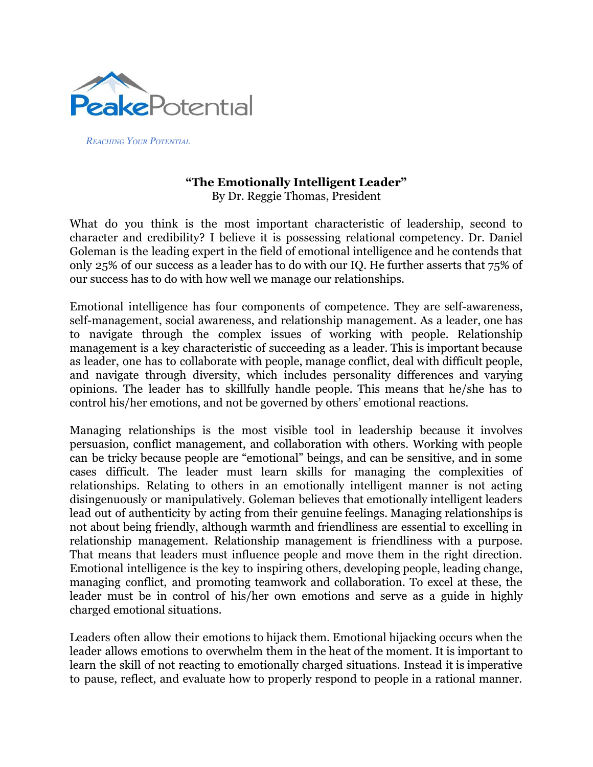

*REACHING YOUR POTENTIAL*

## **"The Emotionally Intelligent Leader"** By Dr. Reggie Thomas, President

What do you think is the most important characteristic of leadership, second to character and credibility? I believe it is possessing relational competency. Dr. Daniel Goleman is the leading expert in the field of emotional intelligence and he contends that only 25% of our success as a leader has to do with our IQ. He further asserts that 75% of our success has to do with how well we manage our relationships.

Emotional intelligence has four components of competence. They are self-awareness, self-management, social awareness, and relationship management. As a leader, one has to navigate through the complex issues of working with people. Relationship management is a key characteristic of succeeding as a leader. This is important because as leader, one has to collaborate with people, manage conflict, deal with difficult people, and navigate through diversity, which includes personality differences and varying opinions. The leader has to skillfully handle people. This means that he/she has to control his/her emotions, and not be governed by others' emotional reactions.

Managing relationships is the most visible tool in leadership because it involves persuasion, conflict management, and collaboration with others. Working with people can be tricky because people are "emotional" beings, and can be sensitive, and in some cases difficult. The leader must learn skills for managing the complexities of relationships. Relating to others in an emotionally intelligent manner is not acting disingenuously or manipulatively. Goleman believes that emotionally intelligent leaders lead out of authenticity by acting from their genuine feelings. Managing relationships is not about being friendly, although warmth and friendliness are essential to excelling in relationship management. Relationship management is friendliness with a purpose. That means that leaders must influence people and move them in the right direction. Emotional intelligence is the key to inspiring others, developing people, leading change, managing conflict, and promoting teamwork and collaboration. To excel at these, the leader must be in control of his/her own emotions and serve as a guide in highly charged emotional situations.

Leaders often allow their emotions to hijack them. Emotional hijacking occurs when the leader allows emotions to overwhelm them in the heat of the moment. It is important to learn the skill of not reacting to emotionally charged situations. Instead it is imperative to pause, reflect, and evaluate how to properly respond to people in a rational manner.